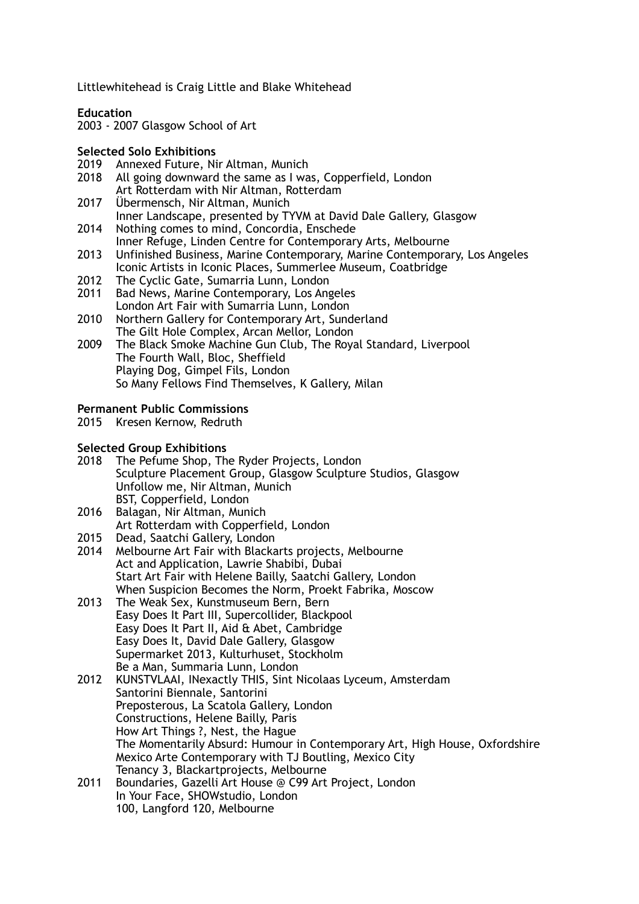Littlewhitehead is Craig Little and Blake Whitehead

**Education** 

2003 - 2007 Glasgow School of Art

# **Selected Solo Exhibitions**

- Annexed Future, Nir Altman, Munich
- 2018 All going downward the same as I was, Copperfield, London Art Rotterdam with Nir Altman, Rotterdam
- 2017 Übermensch, Nir Altman, Munich Inner Landscape, presented by TYVM at David Dale Gallery, Glasgow 2014 Nothing comes to mind. Concordia. Enschede
- Nothing comes to mind, Concordia, Enschede Inner Refuge, Linden Centre for Contemporary Arts, Melbourne<br>2013 Unfinished Business, Marine Contemporary, Marine Contempora
- 2013 Unfinished Business, Marine Contemporary, Marine Contemporary, Los Angeles Iconic Artists in Iconic Places, Summerlee Museum, Coatbridge
- 2012 The Cyclic Gate, Sumarria Lunn, London<br>2011 Bad News, Marine Contemporary Los Ang
- Bad News, Marine Contemporary, Los Angeles London Art Fair with Sumarria Lunn, London
- 2010 Northern Gallery for Contemporary Art, Sunderland The Gilt Hole Complex, Arcan Mellor, London
- 2009 The Black Smoke Machine Gun Club, The Royal Standard, Liverpool The Fourth Wall, Bloc, Sheffield Playing Dog, Gimpel Fils, London So Many Fellows Find Themselves, K Gallery, Milan

### **Permanent Public Commissions**

2015 Kresen Kernow, Redruth

#### **Selected Group Exhibitions**

- 2018 The Pefume Shop, The Ryder Projects, London Sculpture Placement Group, Glasgow Sculpture Studios, Glasgow Unfollow me, Nir Altman, Munich BST, Copperfield, London
- 2016 Balagan, Nir Altman, Munich Art Rotterdam with Copperfield, London
- 2015 Dead, Saatchi Gallery, London
- 2014 Melbourne Art Fair with Blackarts projects, Melbourne Act and Application, Lawrie Shabibi, Dubai Start Art Fair with Helene Bailly, Saatchi Gallery, London When Suspicion Becomes the Norm, Proekt Fabrika, Moscow
- 2013 The Weak Sex, Kunstmuseum Bern, Bern Easy Does It Part III, Supercollider, Blackpool Easy Does It Part II, Aid & Abet, Cambridge Easy Does It, David Dale Gallery, Glasgow Supermarket 2013, Kulturhuset, Stockholm Be a Man, Summaria Lunn, London
- 2012 KUNSTVLAAI, INexactly THIS, Sint Nicolaas Lyceum, Amsterdam Santorini Biennale, Santorini Preposterous, La Scatola Gallery, London Constructions, Helene Bailly, Paris How Art Things ?, Nest, the Hague The Momentarily Absurd: Humour in Contemporary Art, High House, Oxfordshire Mexico Arte Contemporary with TJ Boutling, Mexico City Tenancy 3, Blackartprojects, Melbourne
- 2011 Boundaries, Gazelli Art House @ C99 Art Project, London In Your Face, SHOWstudio, London 100, Langford 120, Melbourne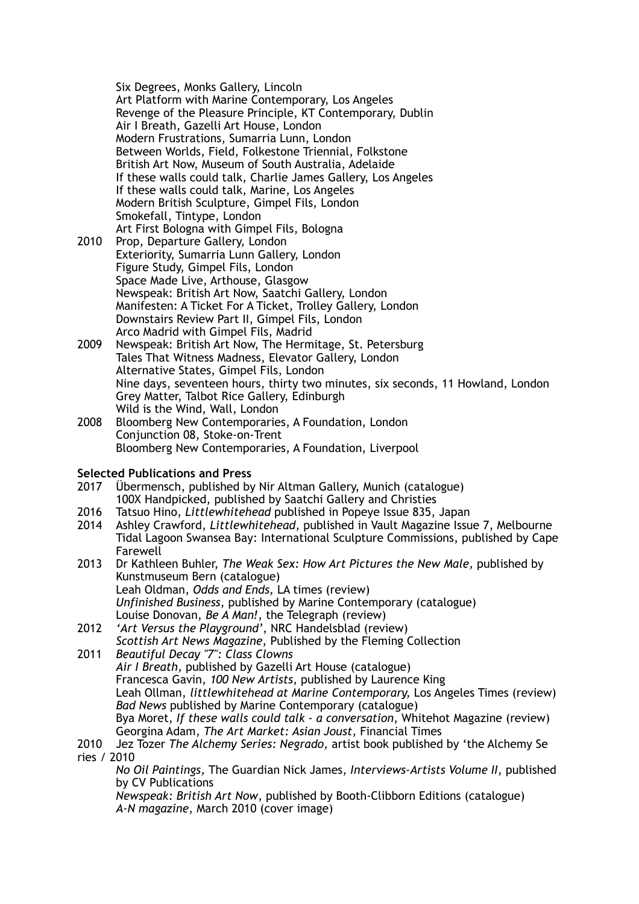Six Degrees, Monks Gallery, Lincoln Art Platform with Marine Contemporary, Los Angeles Revenge of the Pleasure Principle, KT Contemporary, Dublin Air I Breath, Gazelli Art House, London Modern Frustrations, Sumarria Lunn, London Between Worlds, Field, Folkestone Triennial, Folkstone British Art Now, Museum of South Australia, Adelaide If these walls could talk, Charlie James Gallery, Los Angeles If these walls could talk, Marine, Los Angeles Modern British Sculpture, Gimpel Fils, London Smokefall, Tintype, London Art First Bologna with Gimpel Fils, Bologna

- 2010 Prop, Departure Gallery, London Exteriority, Sumarria Lunn Gallery, London Figure Study, Gimpel Fils, London Space Made Live, Arthouse, Glasgow Newspeak: British Art Now, Saatchi Gallery, London Manifesten: A Ticket For A Ticket, Trolley Gallery, London Downstairs Review Part II, Gimpel Fils, London Arco Madrid with Gimpel Fils, Madrid
- 2009 Newspeak: British Art Now, The Hermitage, St. Petersburg Tales That Witness Madness, Elevator Gallery, London Alternative States, Gimpel Fils, London Nine days, seventeen hours, thirty two minutes, six seconds, 11 Howland, London Grey Matter, Talbot Rice Gallery, Edinburgh Wild is the Wind, Wall, London
- 2008 Bloomberg New Contemporaries, A Foundation, London Conjunction 08, Stoke-on-Trent Bloomberg New Contemporaries, A Foundation, Liverpool

# **Selected Publications and Press**

- 2017 Übermensch, published by Nir Altman Gallery, Munich (catalogue) 100X Handpicked, published by Saatchi Gallery and Christies
- 2016 Tatsuo Hino, *Littlewhitehead* published in Popeye Issue 835, Japan
- 2014 Ashley Crawford, *Littlewhitehead*, published in Vault Magazine Issue 7, Melbourne Tidal Lagoon Swansea Bay: International Sculpture Commissions, published by Cape Farewell
- 2013 Dr Kathleen Buhler, *The Weak Sex: How Art Pictures the New Male,* published by Kunstmuseum Bern (catalogue) Leah Oldman, *Odds and Ends,* LA times (review) *Unfinished Business*, published by Marine Contemporary (catalogue) Louise Donovan, *Be A Man!*, the Telegraph (review)
- 2012 *'Art Versus the Playground'*, NRC Handelsblad (review) *Scottish Art News Magazine*, Published by the Fleming Collection

2011 *Beautiful Decay "7": Class Clowns Air I Breath,* published by Gazelli Art House (catalogue) Francesca Gavin, *100 New Artists*, published by Laurence King Leah Ollman, *littlewhitehead at Marine Contemporary,* Los Angeles Times (review) *Bad News* published by Marine Contemporary (catalogue) Bya Moret, *If these walls could talk - a conversation*, Whitehot Magazine (review) Georgina Adam, *The Art Market: Asian Joust,* Financial Times

## 2010 Jez Tozer *The Alchemy Series: Negrado,* artist book published by 'the Alchemy Se ries / 2010

*No Oil Paintings,* The Guardian Nick James, *Interviews-Artists Volume II*, published by CV Publications

*Newspeak: British Art Now*, published by Booth-Clibborn Editions (catalogue) *A-N magazine*, March 2010 (cover image)